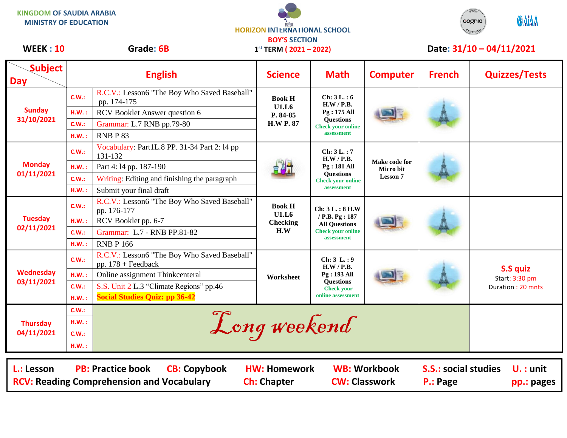**KINGDOM OF SAUDIA ARABIA MINISTRY OF EDUCATION**





## WEEK : 10 Grade: 6B 1<sup>st</sup> TERM (2021 – 2022) Date: 31/10 – 04/11/2021

| <b>Subject</b><br><b>Day</b>                                                                                                                              |              | <b>English</b>                                                       | <b>Science</b>                                         | <b>Math</b>                                                                                                   | <b>Computer</b>                               | <b>French</b> | <b>Quizzes/Tests</b>                            |  |
|-----------------------------------------------------------------------------------------------------------------------------------------------------------|--------------|----------------------------------------------------------------------|--------------------------------------------------------|---------------------------------------------------------------------------------------------------------------|-----------------------------------------------|---------------|-------------------------------------------------|--|
| <b>Sunday</b><br>31/10/2021                                                                                                                               | C.W.:        | R.C.V.: Lesson6 "The Boy Who Saved Baseball"<br>pp. 174-175          | <b>Book H</b><br>U1.L6<br>P. 84-85<br><b>H.W P. 87</b> | Ch: 3L:6<br>H.W / P.B.<br>Pg: 175 All<br><b>Ouestions</b><br><b>Check your online</b><br>assessment           |                                               |               |                                                 |  |
|                                                                                                                                                           | H.W.:        | RCV Booklet Answer question 6                                        |                                                        |                                                                                                               |                                               |               |                                                 |  |
|                                                                                                                                                           | C.W.:        | Grammar: L.7 RNB pp.79-80                                            |                                                        |                                                                                                               |                                               |               |                                                 |  |
|                                                                                                                                                           | H.W.:        | RNBP83                                                               |                                                        |                                                                                                               |                                               |               |                                                 |  |
| <b>Monday</b><br>01/11/2021                                                                                                                               | C.W.:        | Vocabulary: Part1L.8 PP. 31-34 Part 2: 14 pp<br>131-132              |                                                        | Ch: 3L.: 7<br>H.W / P.B.<br>Pg: 181 All<br><b>Ouestions</b><br><b>Check your online</b><br>assessment         | Make code for<br>Micro bit<br><b>Lesson 7</b> |               |                                                 |  |
|                                                                                                                                                           | H.W.:        | Part 4:14 pp. 187-190                                                |                                                        |                                                                                                               |                                               |               |                                                 |  |
|                                                                                                                                                           | C.W.:        | Writing: Editing and finishing the paragraph                         |                                                        |                                                                                                               |                                               |               |                                                 |  |
|                                                                                                                                                           | $H.W.$ :     | Submit your final draft                                              |                                                        |                                                                                                               |                                               |               |                                                 |  |
| <b>Tuesday</b><br>02/11/2021                                                                                                                              | C.W.:        | R.C.V.: Lesson6 "The Boy Who Saved Baseball"<br>pp. 176-177          | <b>Book H</b><br>U1.L6<br><b>Checking</b><br>H.W       | Ch: 3 L.: 8 H.W<br>/ P.B. Pg : 187<br><b>All Questions</b><br><b>Check your online</b><br>assessment          |                                               |               |                                                 |  |
|                                                                                                                                                           | H.W.:        | RCV Booklet pp. 6-7                                                  |                                                        |                                                                                                               |                                               |               |                                                 |  |
|                                                                                                                                                           | <b>C.W.:</b> | Grammar: L.7 - RNB PP.81-82                                          |                                                        |                                                                                                               |                                               |               |                                                 |  |
|                                                                                                                                                           | H.W.:        | <b>RNB P 166</b>                                                     |                                                        |                                                                                                               |                                               |               |                                                 |  |
|                                                                                                                                                           | C.W.:        | R.C.V.: Lesson6 "The Boy Who Saved Baseball"<br>pp. $178 +$ Feedback | Worksheet                                              | Ch: 3 L.: 9<br>H.W / P.B.<br><b>Pg: 193 All</b><br><b>Questions</b><br><b>Check your</b><br>online assessment |                                               |               | S.S quiz<br>Start: 3:30 pm<br>Duration: 20 mnts |  |
| Wednesday                                                                                                                                                 | H.W.:        | Online assignment Thinkcenteral                                      |                                                        |                                                                                                               |                                               |               |                                                 |  |
| 03/11/2021                                                                                                                                                | C.W.:        | S.S. Unit 2 L.3 "Climate Regions" pp.46                              |                                                        |                                                                                                               |                                               |               |                                                 |  |
|                                                                                                                                                           | H.W.:        | <b>Social Studies Quiz: pp 36-42</b>                                 |                                                        |                                                                                                               |                                               |               |                                                 |  |
| <b>Thursday</b><br>04/11/2021                                                                                                                             | <b>C.W.:</b> |                                                                      |                                                        |                                                                                                               |                                               |               |                                                 |  |
|                                                                                                                                                           | H.W.:        | Long weekend                                                         |                                                        |                                                                                                               |                                               |               |                                                 |  |
|                                                                                                                                                           | <b>C.W.:</b> |                                                                      |                                                        |                                                                                                               |                                               |               |                                                 |  |
|                                                                                                                                                           | H.W.:        |                                                                      |                                                        |                                                                                                               |                                               |               |                                                 |  |
|                                                                                                                                                           |              |                                                                      |                                                        |                                                                                                               |                                               |               |                                                 |  |
| <b>S.S.: social studies</b><br><b>PB: Practice book</b><br><b>CB: Copybook</b><br><b>HW: Homework</b><br><b>WB: Workbook</b><br>L.: Lesson<br>$U.$ : unit |              |                                                                      |                                                        |                                                                                                               |                                               |               |                                                 |  |
| <b>CW: Classwork</b><br><b>RCV: Reading Comprehension and Vocabulary</b><br><b>Ch: Chapter</b><br>P.: Page<br>pp.: pages                                  |              |                                                                      |                                                        |                                                                                                               |                                               |               |                                                 |  |